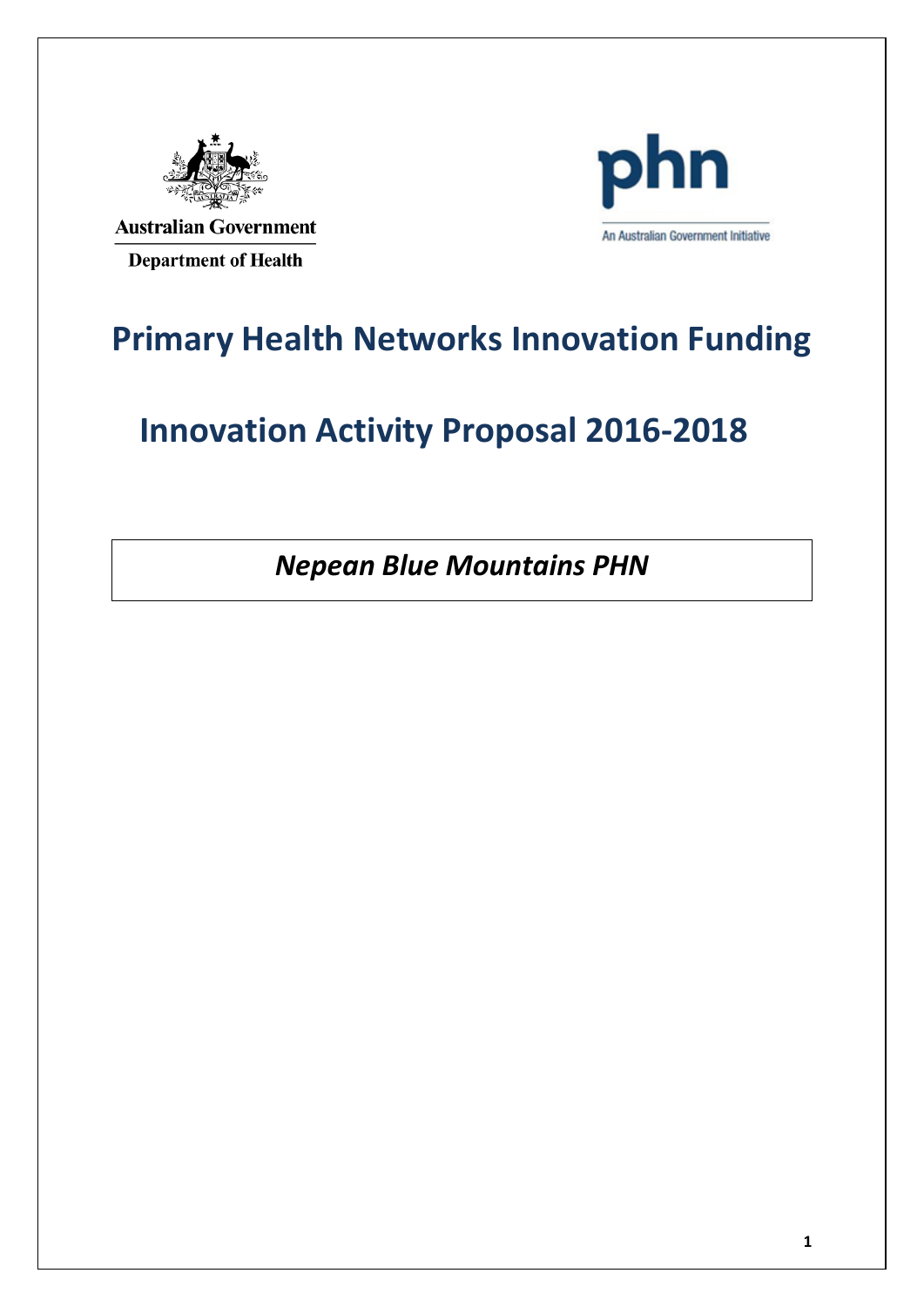

**Australian Government Department of Health** 



### **Primary Health Networks Innovation Funding**

## **Innovation Activity Proposal 2016-2018**

*Nepean Blue Mountains PHN*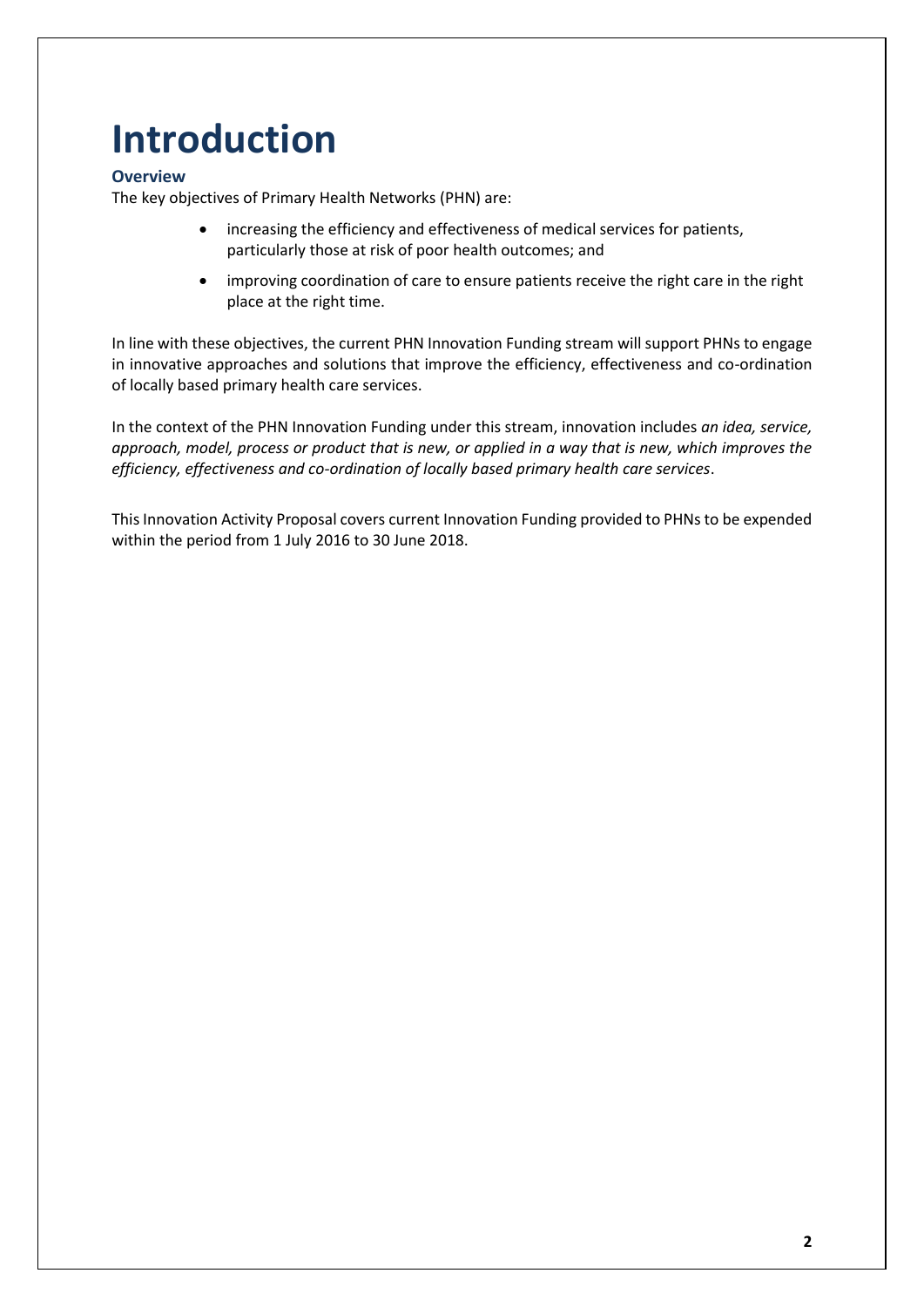# **Introduction**

#### **Overview**

The key objectives of Primary Health Networks (PHN) are:

- increasing the efficiency and effectiveness of medical services for patients, particularly those at risk of poor health outcomes; and
- improving coordination of care to ensure patients receive the right care in the right place at the right time.

In line with these objectives, the current PHN Innovation Funding stream will support PHNs to engage in innovative approaches and solutions that improve the efficiency, effectiveness and co-ordination of locally based primary health care services.

In the context of the PHN Innovation Funding under this stream, innovation includes *an idea, service, approach, model, process or product that is new, or applied in a way that is new, which improves the efficiency, effectiveness and co-ordination of locally based primary health care services*.

This Innovation Activity Proposal covers current Innovation Funding provided to PHNs to be expended within the period from 1 July 2016 to 30 June 2018.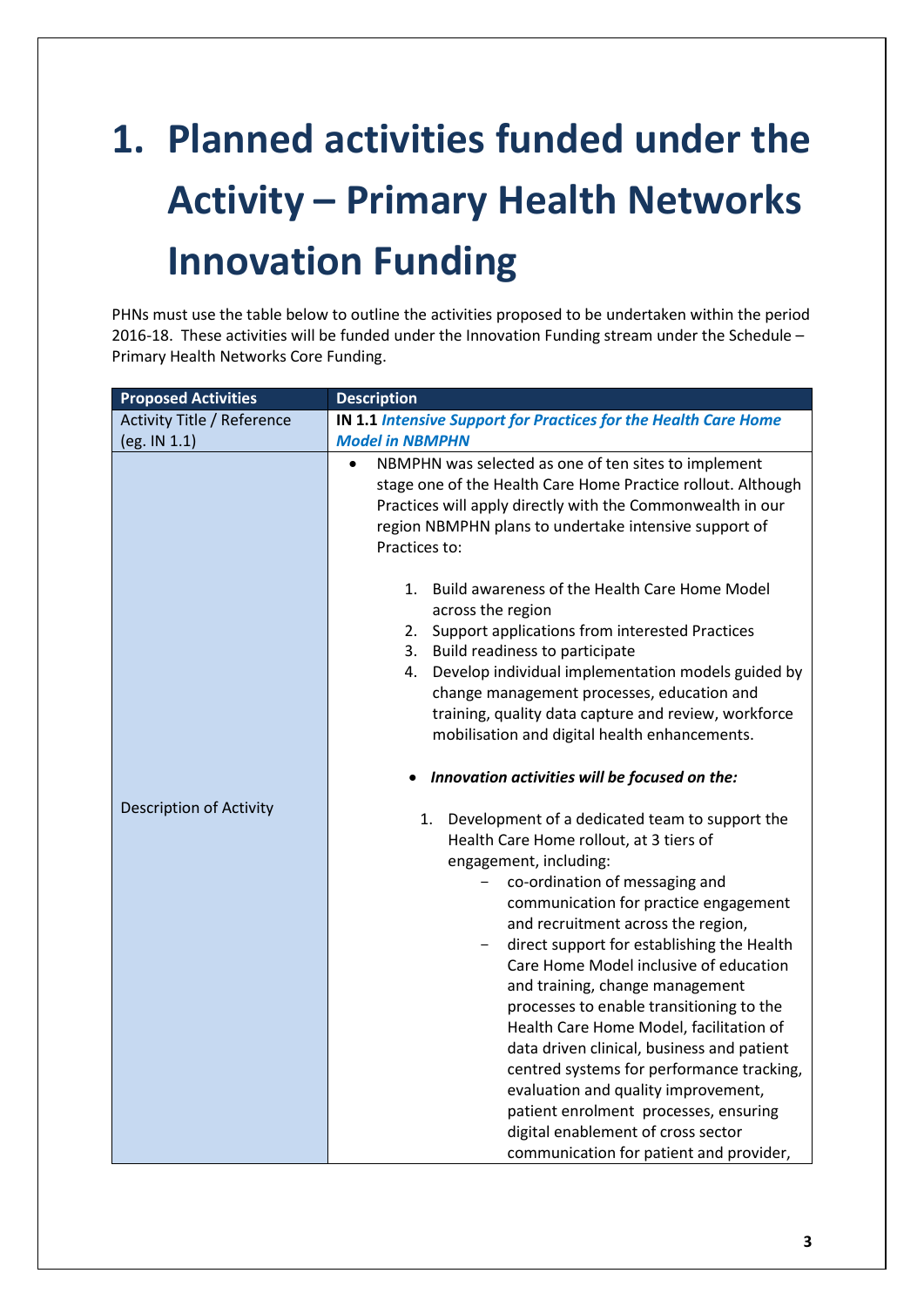# **1. Planned activities funded under the Activity – Primary Health Networks Innovation Funding**

PHNs must use the table below to outline the activities proposed to be undertaken within the period 2016-18. These activities will be funded under the Innovation Funding stream under the Schedule – Primary Health Networks Core Funding.

| <b>Proposed Activities</b>        | <b>Description</b>                                                                                                                                                                                                                                                                                                                                                                                                                                                                                                                                                                                                                                                                                                       |
|-----------------------------------|--------------------------------------------------------------------------------------------------------------------------------------------------------------------------------------------------------------------------------------------------------------------------------------------------------------------------------------------------------------------------------------------------------------------------------------------------------------------------------------------------------------------------------------------------------------------------------------------------------------------------------------------------------------------------------------------------------------------------|
| <b>Activity Title / Reference</b> | <b>IN 1.1 Intensive Support for Practices for the Health Care Home</b>                                                                                                                                                                                                                                                                                                                                                                                                                                                                                                                                                                                                                                                   |
| (eg. IN 1.1)                      | <b>Model in NBMPHN</b>                                                                                                                                                                                                                                                                                                                                                                                                                                                                                                                                                                                                                                                                                                   |
|                                   | NBMPHN was selected as one of ten sites to implement<br>$\bullet$<br>stage one of the Health Care Home Practice rollout. Although<br>Practices will apply directly with the Commonwealth in our<br>region NBMPHN plans to undertake intensive support of<br>Practices to:                                                                                                                                                                                                                                                                                                                                                                                                                                                |
|                                   | Build awareness of the Health Care Home Model<br>1.<br>across the region<br>Support applications from interested Practices<br>2.                                                                                                                                                                                                                                                                                                                                                                                                                                                                                                                                                                                         |
|                                   | Build readiness to participate<br>3.<br>Develop individual implementation models guided by<br>4.<br>change management processes, education and<br>training, quality data capture and review, workforce<br>mobilisation and digital health enhancements.                                                                                                                                                                                                                                                                                                                                                                                                                                                                  |
|                                   | Innovation activities will be focused on the:                                                                                                                                                                                                                                                                                                                                                                                                                                                                                                                                                                                                                                                                            |
| <b>Description of Activity</b>    | Development of a dedicated team to support the<br>1.<br>Health Care Home rollout, at 3 tiers of<br>engagement, including:<br>co-ordination of messaging and<br>communication for practice engagement<br>and recruitment across the region,<br>direct support for establishing the Health<br>Care Home Model inclusive of education<br>and training, change management<br>processes to enable transitioning to the<br>Health Care Home Model, facilitation of<br>data driven clinical, business and patient<br>centred systems for performance tracking,<br>evaluation and quality improvement,<br>patient enrolment processes, ensuring<br>digital enablement of cross sector<br>communication for patient and provider, |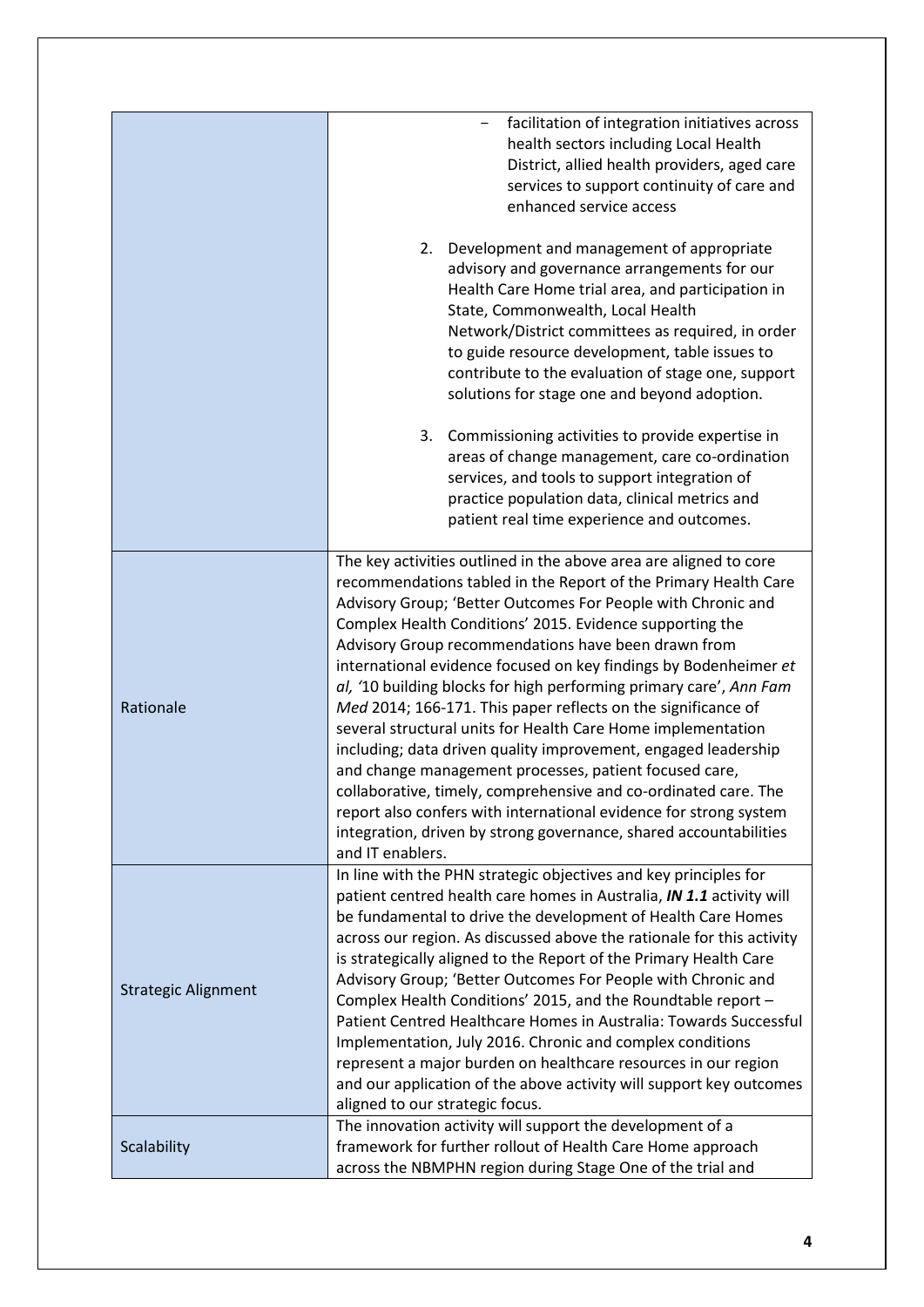|                            | facilitation of integration initiatives across<br>health sectors including Local Health<br>District, allied health providers, aged care<br>services to support continuity of care and<br>enhanced service access                                                                                                                                                                                                                                                                                                                                                                                                                                                                                                                                                                                                                                                                                                                                                |
|----------------------------|-----------------------------------------------------------------------------------------------------------------------------------------------------------------------------------------------------------------------------------------------------------------------------------------------------------------------------------------------------------------------------------------------------------------------------------------------------------------------------------------------------------------------------------------------------------------------------------------------------------------------------------------------------------------------------------------------------------------------------------------------------------------------------------------------------------------------------------------------------------------------------------------------------------------------------------------------------------------|
|                            | Development and management of appropriate<br>2.<br>advisory and governance arrangements for our<br>Health Care Home trial area, and participation in<br>State, Commonwealth, Local Health<br>Network/District committees as required, in order<br>to guide resource development, table issues to<br>contribute to the evaluation of stage one, support<br>solutions for stage one and beyond adoption.                                                                                                                                                                                                                                                                                                                                                                                                                                                                                                                                                          |
|                            | 3. Commissioning activities to provide expertise in<br>areas of change management, care co-ordination<br>services, and tools to support integration of<br>practice population data, clinical metrics and<br>patient real time experience and outcomes.                                                                                                                                                                                                                                                                                                                                                                                                                                                                                                                                                                                                                                                                                                          |
| Rationale                  | The key activities outlined in the above area are aligned to core<br>recommendations tabled in the Report of the Primary Health Care<br>Advisory Group; 'Better Outcomes For People with Chronic and<br>Complex Health Conditions' 2015. Evidence supporting the<br>Advisory Group recommendations have been drawn from<br>international evidence focused on key findings by Bodenheimer et<br>al, '10 building blocks for high performing primary care', Ann Fam<br>Med 2014; 166-171. This paper reflects on the significance of<br>several structural units for Health Care Home implementation<br>including; data driven quality improvement, engaged leadership<br>and change management processes, patient focused care,<br>collaborative, timely, comprehensive and co-ordinated care. The<br>report also confers with international evidence for strong system<br>integration, driven by strong governance, shared accountabilities<br>and IT enablers. |
| <b>Strategic Alignment</b> | In line with the PHN strategic objectives and key principles for<br>patient centred health care homes in Australia, IN 1.1 activity will<br>be fundamental to drive the development of Health Care Homes<br>across our region. As discussed above the rationale for this activity<br>is strategically aligned to the Report of the Primary Health Care<br>Advisory Group; 'Better Outcomes For People with Chronic and<br>Complex Health Conditions' 2015, and the Roundtable report -<br>Patient Centred Healthcare Homes in Australia: Towards Successful<br>Implementation, July 2016. Chronic and complex conditions<br>represent a major burden on healthcare resources in our region<br>and our application of the above activity will support key outcomes<br>aligned to our strategic focus.                                                                                                                                                            |
| Scalability                | The innovation activity will support the development of a<br>framework for further rollout of Health Care Home approach<br>across the NBMPHN region during Stage One of the trial and                                                                                                                                                                                                                                                                                                                                                                                                                                                                                                                                                                                                                                                                                                                                                                           |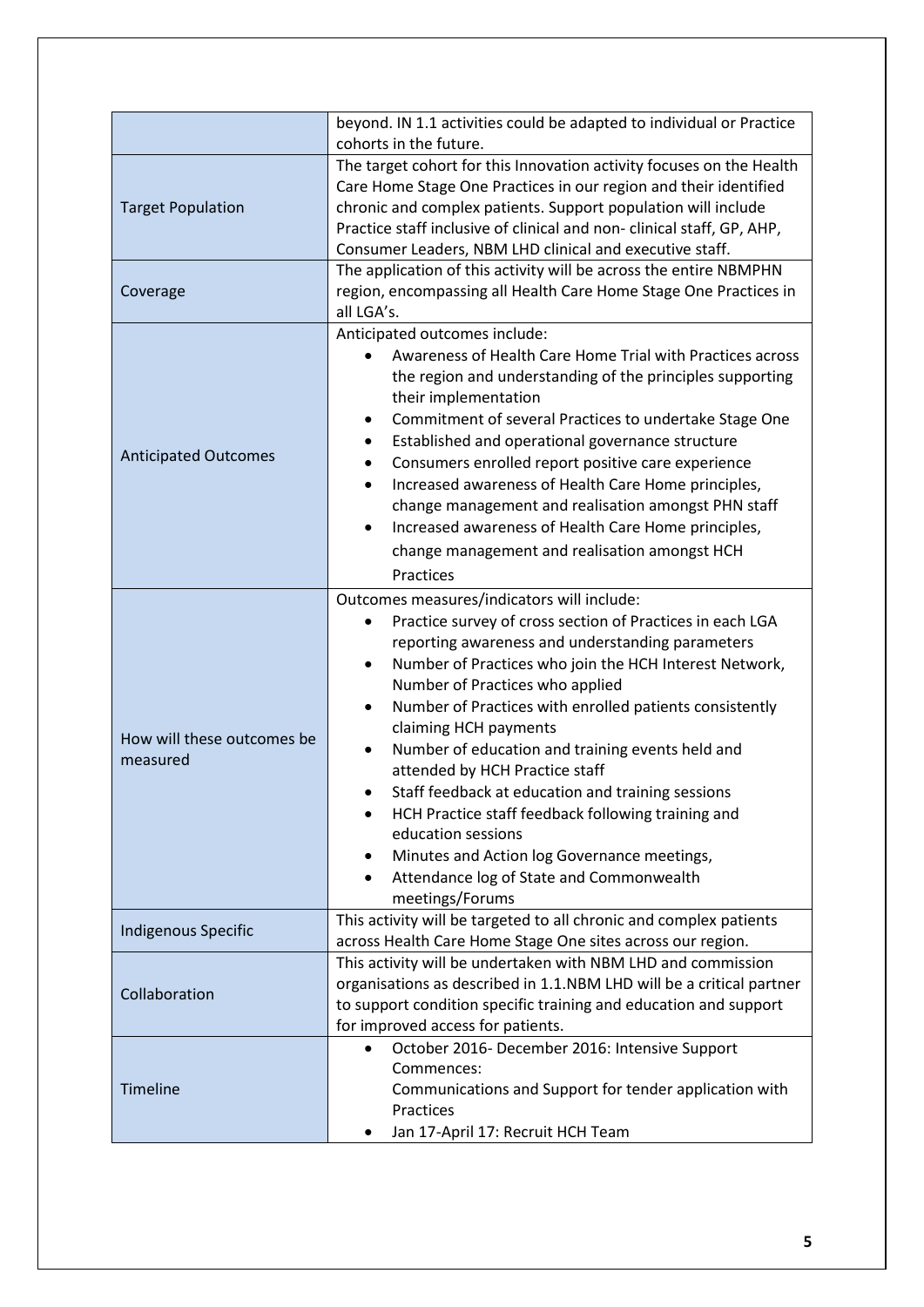|                                        | beyond. IN 1.1 activities could be adapted to individual or Practice<br>cohorts in the future.                                                                                                                                                                                                                                                                                                                                                                                                                                                                                                                                                                                                                           |
|----------------------------------------|--------------------------------------------------------------------------------------------------------------------------------------------------------------------------------------------------------------------------------------------------------------------------------------------------------------------------------------------------------------------------------------------------------------------------------------------------------------------------------------------------------------------------------------------------------------------------------------------------------------------------------------------------------------------------------------------------------------------------|
| <b>Target Population</b>               | The target cohort for this Innovation activity focuses on the Health<br>Care Home Stage One Practices in our region and their identified<br>chronic and complex patients. Support population will include<br>Practice staff inclusive of clinical and non-clinical staff, GP, AHP,<br>Consumer Leaders, NBM LHD clinical and executive staff.                                                                                                                                                                                                                                                                                                                                                                            |
| Coverage                               | The application of this activity will be across the entire NBMPHN<br>region, encompassing all Health Care Home Stage One Practices in<br>all LGA's.                                                                                                                                                                                                                                                                                                                                                                                                                                                                                                                                                                      |
| <b>Anticipated Outcomes</b>            | Anticipated outcomes include:<br>Awareness of Health Care Home Trial with Practices across<br>the region and understanding of the principles supporting<br>their implementation<br>Commitment of several Practices to undertake Stage One<br>Established and operational governance structure<br>Consumers enrolled report positive care experience<br>Increased awareness of Health Care Home principles,<br>$\bullet$<br>change management and realisation amongst PHN staff<br>Increased awareness of Health Care Home principles,<br>$\bullet$<br>change management and realisation amongst HCH<br>Practices                                                                                                         |
| How will these outcomes be<br>measured | Outcomes measures/indicators will include:<br>Practice survey of cross section of Practices in each LGA<br>$\bullet$<br>reporting awareness and understanding parameters<br>Number of Practices who join the HCH Interest Network,<br>Number of Practices who applied<br>Number of Practices with enrolled patients consistently<br>$\bullet$<br>claiming HCH payments<br>Number of education and training events held and<br>$\bullet$<br>attended by HCH Practice staff<br>Staff feedback at education and training sessions<br>HCH Practice staff feedback following training and<br>education sessions<br>Minutes and Action log Governance meetings,<br>Attendance log of State and Commonwealth<br>meetings/Forums |
| <b>Indigenous Specific</b>             | This activity will be targeted to all chronic and complex patients<br>across Health Care Home Stage One sites across our region.                                                                                                                                                                                                                                                                                                                                                                                                                                                                                                                                                                                         |
| Collaboration                          | This activity will be undertaken with NBM LHD and commission<br>organisations as described in 1.1.NBM LHD will be a critical partner<br>to support condition specific training and education and support<br>for improved access for patients.                                                                                                                                                                                                                                                                                                                                                                                                                                                                            |
| <b>Timeline</b>                        | October 2016- December 2016: Intensive Support<br>$\bullet$<br>Commences:<br>Communications and Support for tender application with<br>Practices<br>Jan 17-April 17: Recruit HCH Team                                                                                                                                                                                                                                                                                                                                                                                                                                                                                                                                    |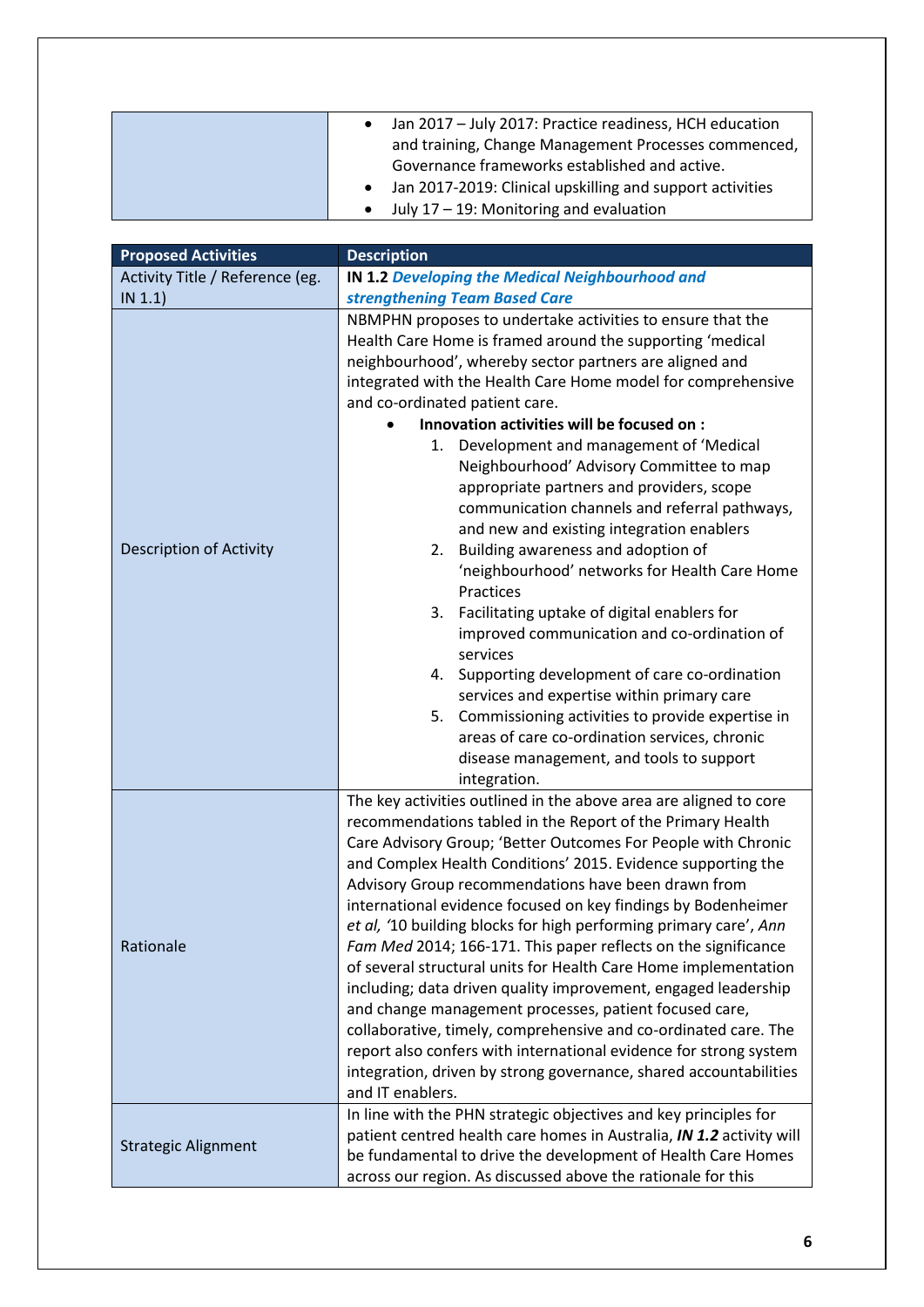| Jan 2017 - July 2017: Practice readiness, HCH education<br>$\bullet$ |
|----------------------------------------------------------------------|
| and training, Change Management Processes commenced,                 |
| Governance frameworks established and active.                        |
| • Jan 2017-2019: Clinical upskilling and support activities          |
| $\bullet$ July 17 – 19: Monitoring and evaluation                    |

| <b>Proposed Activities</b>      | <b>Description</b>                                                                                                       |
|---------------------------------|--------------------------------------------------------------------------------------------------------------------------|
| Activity Title / Reference (eg. | <b>IN 1.2 Developing the Medical Neighbourhood and</b>                                                                   |
| IN 1.1)                         | strengthening Team Based Care                                                                                            |
|                                 | NBMPHN proposes to undertake activities to ensure that the                                                               |
|                                 | Health Care Home is framed around the supporting 'medical                                                                |
|                                 | neighbourhood', whereby sector partners are aligned and                                                                  |
|                                 | integrated with the Health Care Home model for comprehensive                                                             |
|                                 | and co-ordinated patient care.                                                                                           |
|                                 | Innovation activities will be focused on :                                                                               |
|                                 | Development and management of 'Medical<br>1.                                                                             |
|                                 | Neighbourhood' Advisory Committee to map                                                                                 |
|                                 | appropriate partners and providers, scope                                                                                |
|                                 | communication channels and referral pathways,                                                                            |
|                                 | and new and existing integration enablers                                                                                |
| Description of Activity         | Building awareness and adoption of<br>2.                                                                                 |
|                                 | 'neighbourhood' networks for Health Care Home<br>Practices                                                               |
|                                 | Facilitating uptake of digital enablers for<br>3.                                                                        |
|                                 | improved communication and co-ordination of                                                                              |
|                                 | services                                                                                                                 |
|                                 | 4. Supporting development of care co-ordination                                                                          |
|                                 | services and expertise within primary care                                                                               |
|                                 | 5. Commissioning activities to provide expertise in                                                                      |
|                                 | areas of care co-ordination services, chronic                                                                            |
|                                 | disease management, and tools to support                                                                                 |
|                                 | integration.                                                                                                             |
|                                 | The key activities outlined in the above area are aligned to core                                                        |
|                                 | recommendations tabled in the Report of the Primary Health                                                               |
|                                 | Care Advisory Group; 'Better Outcomes For People with Chronic                                                            |
|                                 | and Complex Health Conditions' 2015. Evidence supporting the                                                             |
|                                 | Advisory Group recommendations have been drawn from                                                                      |
|                                 | international evidence focused on key findings by Bodenheimer                                                            |
|                                 | et al, '10 building blocks for high performing primary care', Ann                                                        |
| Rationale                       | Fam Med 2014; 166-171. This paper reflects on the significance                                                           |
|                                 | of several structural units for Health Care Home implementation                                                          |
|                                 | including; data driven quality improvement, engaged leadership<br>and change management processes, patient focused care, |
|                                 | collaborative, timely, comprehensive and co-ordinated care. The                                                          |
|                                 | report also confers with international evidence for strong system                                                        |
|                                 | integration, driven by strong governance, shared accountabilities                                                        |
|                                 | and IT enablers.                                                                                                         |
|                                 | In line with the PHN strategic objectives and key principles for                                                         |
|                                 | patient centred health care homes in Australia, IN 1.2 activity will                                                     |
| <b>Strategic Alignment</b>      | be fundamental to drive the development of Health Care Homes                                                             |
|                                 | across our region. As discussed above the rationale for this                                                             |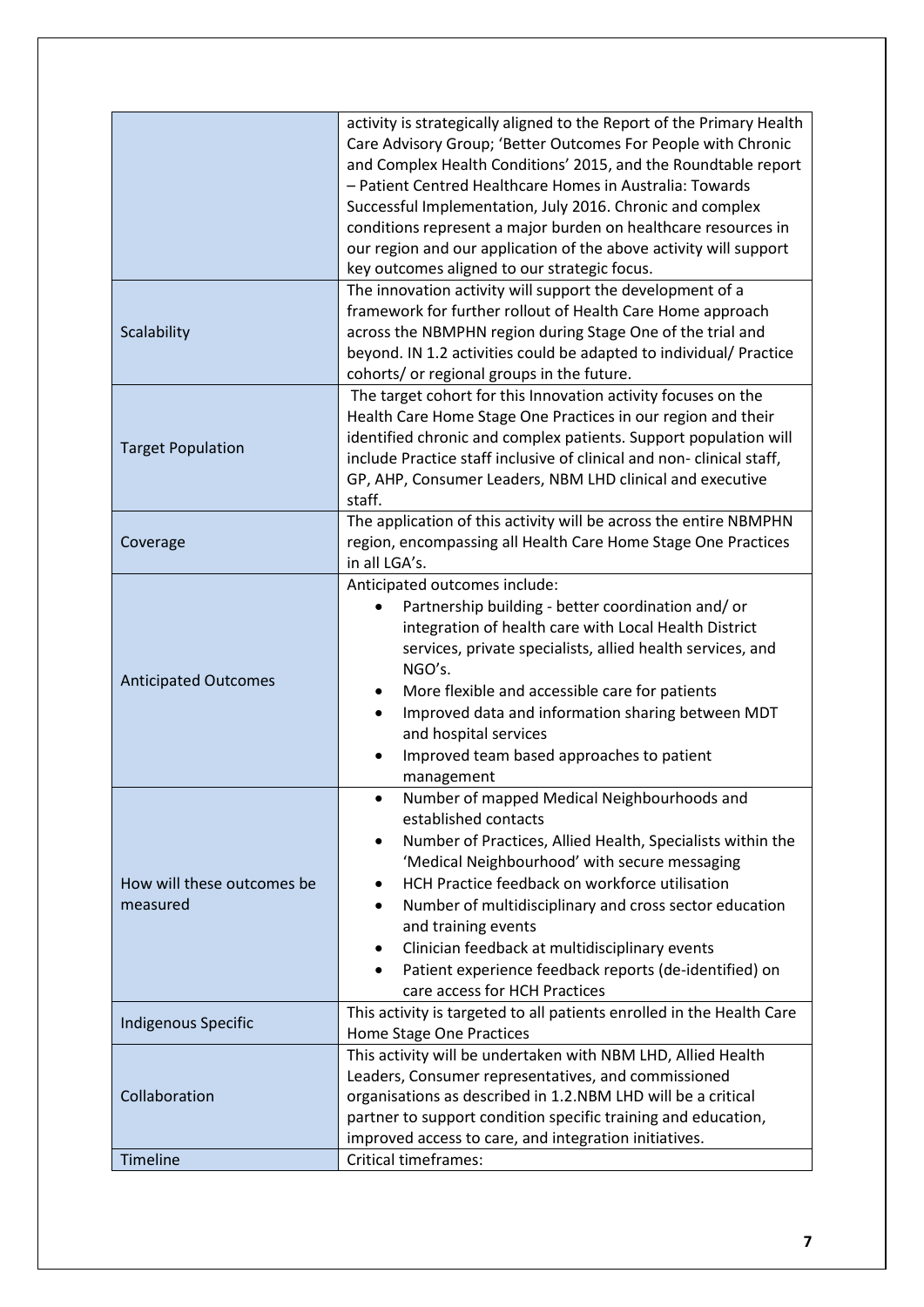|                                        | activity is strategically aligned to the Report of the Primary Health<br>Care Advisory Group; 'Better Outcomes For People with Chronic<br>and Complex Health Conditions' 2015, and the Roundtable report<br>- Patient Centred Healthcare Homes in Australia: Towards<br>Successful Implementation, July 2016. Chronic and complex<br>conditions represent a major burden on healthcare resources in<br>our region and our application of the above activity will support<br>key outcomes aligned to our strategic focus.<br>The innovation activity will support the development of a |
|----------------------------------------|---------------------------------------------------------------------------------------------------------------------------------------------------------------------------------------------------------------------------------------------------------------------------------------------------------------------------------------------------------------------------------------------------------------------------------------------------------------------------------------------------------------------------------------------------------------------------------------|
| Scalability                            | framework for further rollout of Health Care Home approach<br>across the NBMPHN region during Stage One of the trial and<br>beyond. IN 1.2 activities could be adapted to individual/ Practice<br>cohorts/ or regional groups in the future.                                                                                                                                                                                                                                                                                                                                          |
| <b>Target Population</b>               | The target cohort for this Innovation activity focuses on the<br>Health Care Home Stage One Practices in our region and their<br>identified chronic and complex patients. Support population will<br>include Practice staff inclusive of clinical and non-clinical staff,<br>GP, AHP, Consumer Leaders, NBM LHD clinical and executive<br>staff.                                                                                                                                                                                                                                      |
| Coverage                               | The application of this activity will be across the entire NBMPHN<br>region, encompassing all Health Care Home Stage One Practices<br>in all LGA's.                                                                                                                                                                                                                                                                                                                                                                                                                                   |
| <b>Anticipated Outcomes</b>            | Anticipated outcomes include:<br>Partnership building - better coordination and/or<br>integration of health care with Local Health District<br>services, private specialists, allied health services, and<br>NGO's.<br>More flexible and accessible care for patients<br>Improved data and information sharing between MDT<br>$\bullet$<br>and hospital services<br>Improved team based approaches to patient<br>management                                                                                                                                                           |
| How will these outcomes be<br>measured | Number of mapped Medical Neighbourhoods and<br>established contacts<br>Number of Practices, Allied Health, Specialists within the<br>$\bullet$<br>'Medical Neighbourhood' with secure messaging<br>HCH Practice feedback on workforce utilisation<br>Number of multidisciplinary and cross sector education<br>and training events<br>Clinician feedback at multidisciplinary events<br>Patient experience feedback reports (de-identified) on<br>care access for HCH Practices                                                                                                       |
| <b>Indigenous Specific</b>             | This activity is targeted to all patients enrolled in the Health Care<br>Home Stage One Practices                                                                                                                                                                                                                                                                                                                                                                                                                                                                                     |
| Collaboration                          | This activity will be undertaken with NBM LHD, Allied Health<br>Leaders, Consumer representatives, and commissioned<br>organisations as described in 1.2.NBM LHD will be a critical<br>partner to support condition specific training and education,<br>improved access to care, and integration initiatives.                                                                                                                                                                                                                                                                         |
| <b>Timeline</b>                        | <b>Critical timeframes:</b>                                                                                                                                                                                                                                                                                                                                                                                                                                                                                                                                                           |